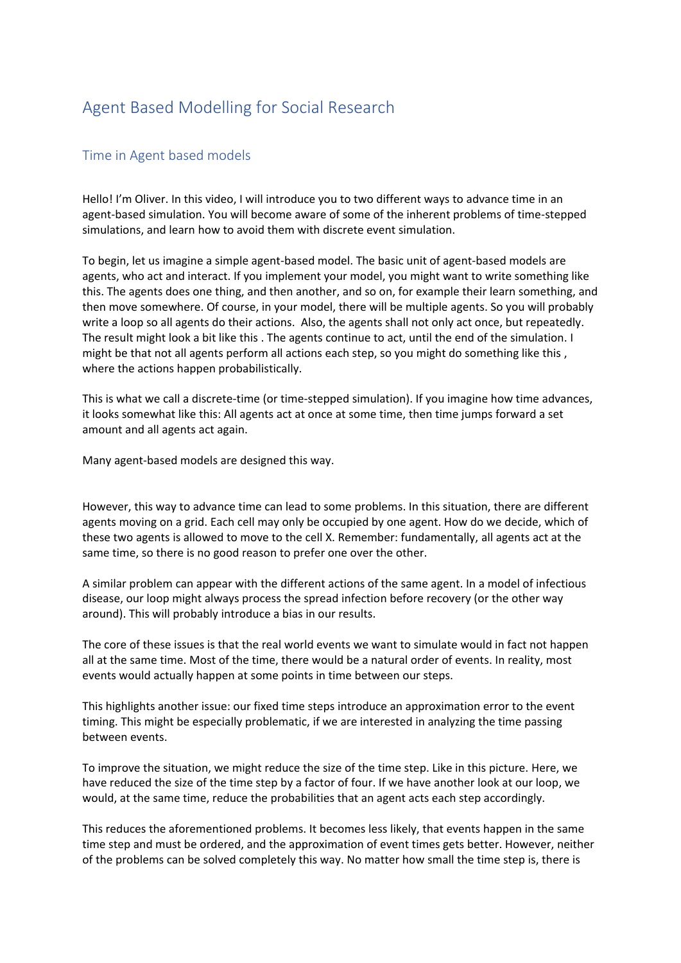## Agent Based Modelling for Social Research

## Time in Agent based models

Hello! I'm Oliver. In this video, I will introduce you to two different ways to advance time in an agent-based simulation. You will become aware of some of the inherent problems of time-stepped simulations, and learn how to avoid them with discrete event simulation.

To begin, let us imagine a simple agent-based model. The basic unit of agent-based models are agents, who act and interact. If you implement your model, you might want to write something like this. The agents does one thing, and then another, and so on, for example their learn something, and then move somewhere. Of course, in your model, there will be multiple agents. So you will probably write a loop so all agents do their actions. Also, the agents shall not only act once, but repeatedly. The result might look a bit like this . The agents continue to act, until the end of the simulation. I might be that not all agents perform all actions each step, so you might do something like this , where the actions happen probabilistically.

This is what we call a discrete-time (or time-stepped simulation). If you imagine how time advances, it looks somewhat like this: All agents act at once at some time, then time jumps forward a set amount and all agents act again.

Many agent-based models are designed this way.

However, this way to advance time can lead to some problems. In this situation, there are different agents moving on a grid. Each cell may only be occupied by one agent. How do we decide, which of these two agents is allowed to move to the cell X. Remember: fundamentally, all agents act at the same time, so there is no good reason to prefer one over the other.

A similar problem can appear with the different actions of the same agent. In a model of infectious disease, our loop might always process the spread infection before recovery (or the other way around). This will probably introduce a bias in our results.

The core of these issues is that the real world events we want to simulate would in fact not happen all at the same time. Most of the time, there would be a natural order of events. In reality, most events would actually happen at some points in time between our steps.

This highlights another issue: our fixed time steps introduce an approximation error to the event timing. This might be especially problematic, if we are interested in analyzing the time passing between events.

To improve the situation, we might reduce the size of the time step. Like in this picture. Here, we have reduced the size of the time step by a factor of four. If we have another look at our loop, we would, at the same time, reduce the probabilities that an agent acts each step accordingly.

This reduces the aforementioned problems. It becomes less likely, that events happen in the same time step and must be ordered, and the approximation of event times gets better. However, neither of the problems can be solved completely this way. No matter how small the time step is, there is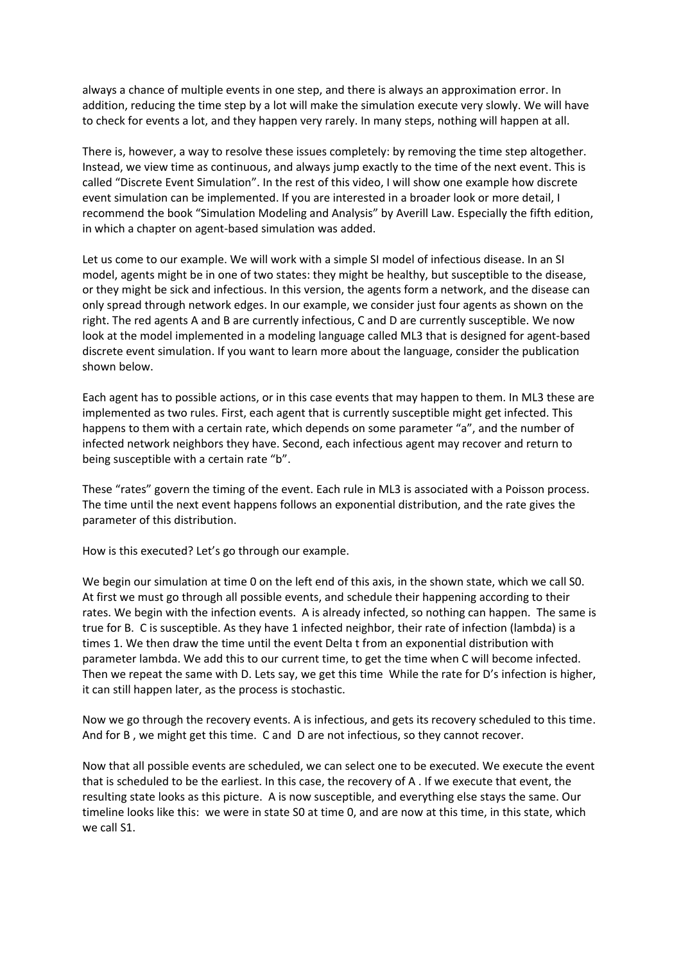always a chance of multiple events in one step, and there is always an approximation error. In addition, reducing the time step by a lot will make the simulation execute very slowly. We will have to check for events a lot, and they happen very rarely. In many steps, nothing will happen at all.

There is, however, a way to resolve these issues completely: by removing the time step altogether. Instead, we view time as continuous, and always jump exactly to the time of the next event. This is called "Discrete Event Simulation". In the rest of this video, I will show one example how discrete event simulation can be implemented. If you are interested in a broader look or more detail, I recommend the book "Simulation Modeling and Analysis" by Averill Law. Especially the fifth edition, in which a chapter on agent-based simulation was added.

Let us come to our example. We will work with a simple SI model of infectious disease. In an SI model, agents might be in one of two states: they might be healthy, but susceptible to the disease, or they might be sick and infectious. In this version, the agents form a network, and the disease can only spread through network edges. In our example, we consider just four agents as shown on the right. The red agents A and B are currently infectious, C and D are currently susceptible. We now look at the model implemented in a modeling language called ML3 that is designed for agent-based discrete event simulation. If you want to learn more about the language, consider the publication shown below.

Each agent has to possible actions, or in this case events that may happen to them. In ML3 these are implemented as two rules. First, each agent that is currently susceptible might get infected. This happens to them with a certain rate, which depends on some parameter "a", and the number of infected network neighbors they have. Second, each infectious agent may recover and return to being susceptible with a certain rate "b".

These "rates" govern the timing of the event. Each rule in ML3 is associated with a Poisson process. The time until the next event happens follows an exponential distribution, and the rate gives the parameter of this distribution.

How is this executed? Let's go through our example.

We begin our simulation at time 0 on the left end of this axis, in the shown state, which we call S0. At first we must go through all possible events, and schedule their happening according to their rates. We begin with the infection events. A is already infected, so nothing can happen. The same is true for B. C is susceptible. As they have 1 infected neighbor, their rate of infection (lambda) is a times 1. We then draw the time until the event Delta t from an exponential distribution with parameter lambda. We add this to our current time, to get the time when C will become infected. Then we repeat the same with D. Lets say, we get this time While the rate for D's infection is higher, it can still happen later, as the process is stochastic.

Now we go through the recovery events. A is infectious, and gets its recovery scheduled to this time. And for B , we might get this time. C and D are not infectious, so they cannot recover.

Now that all possible events are scheduled, we can select one to be executed. We execute the event that is scheduled to be the earliest. In this case, the recovery of A . If we execute that event, the resulting state looks as this picture. A is now susceptible, and everything else stays the same. Our timeline looks like this: we were in state S0 at time 0, and are now at this time, in this state, which we call S1.